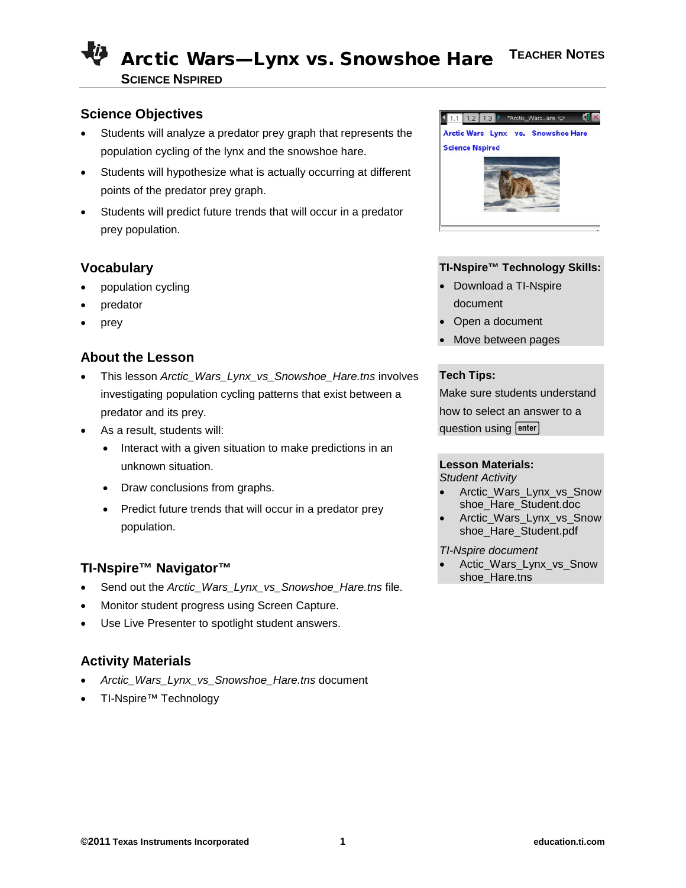## **Science Objectives**

- Students will analyze a predator prey graph that represents the population cycling of the lynx and the snowshoe hare.
- Students will hypothesize what is actually occurring at different points of the predator prey graph.
- Students will predict future trends that will occur in a predator prey population.

# **Vocabulary**

- population cycling
- predator
- prey

# **About the Lesson**

- This lesson *Arctic\_Wars\_Lynx\_vs\_Snowshoe\_Hare.tns* involves investigating population cycling patterns that exist between a predator and its prey.
- As a result, students will:
	- Interact with a given situation to make predictions in an unknown situation.
	- Draw conclusions from graphs.
	- Predict future trends that will occur in a predator prey population.

## **TI-Nspire™ Navigator™**

- Send out the *Arctic\_Wars\_Lynx\_vs\_Snowshoe\_Hare.tns* file.
- Monitor student progress using Screen Capture.
- Use Live Presenter to spotlight student answers.

# **Activity Materials**

- *Arctic\_Wars\_Lynx\_vs\_Snowshoe\_Hare.tns* document
- TI-Nspire™ Technology



### **TI-Nspire™ Technology Skills:**

- Download a TI-Nspire document
- Open a document
- Move between pages

### **Tech Tips:**

Make sure students understand how to select an answer to a question using enter

### **Lesson Materials:**

*Student Activity*

- Arctic Wars Lynx vs Snow shoe\_Hare\_Student.doc
- Arctic Wars Lynx vs Snow shoe\_Hare\_Student.pdf

#### *TI-Nspire document*

• Actic\_Wars\_Lynx\_vs\_Snow shoe\_Hare.tns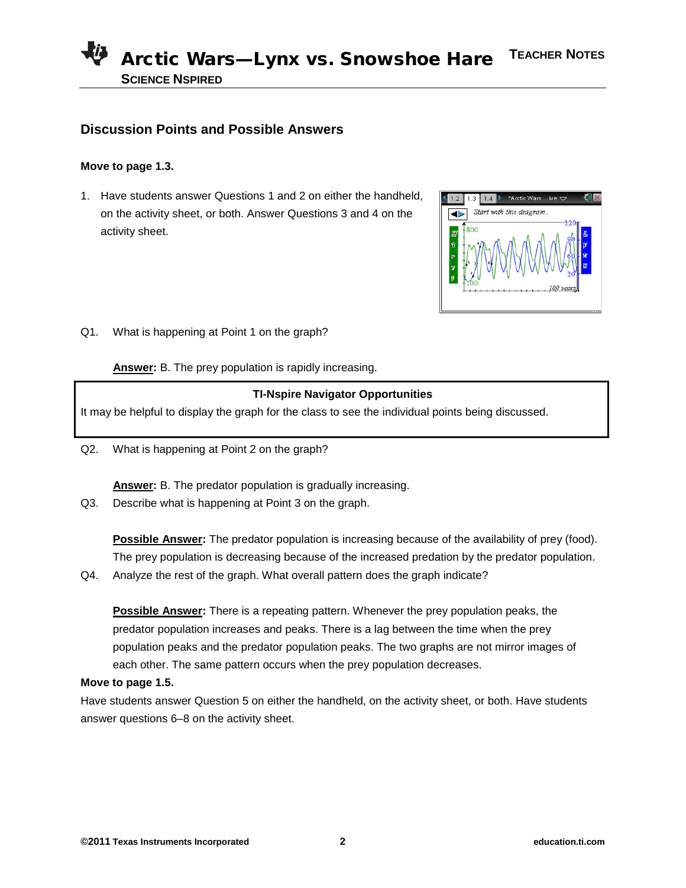## **Discussion Points and Possible Answers**

### **Move to page 1.3.**

1. Have students answer Questions 1 and 2 on either the handheld, on the activity sheet, or both. Answer Questions 3 and 4 on the activity sheet.



Q1. What is happening at Point 1 on the graph?

**Answer:** B. The prey population is rapidly increasing.

#### **TI-Nspire Navigator Opportunities**

It may be helpful to display the graph for the class to see the individual points being discussed.

Q2. What is happening at Point 2 on the graph?

**Answer:** B. The predator population is gradually increasing.

Q3. Describe what is happening at Point 3 on the graph.

**Possible Answer:** The predator population is increasing because of the availability of prey (food). The prey population is decreasing because of the increased predation by the predator population.

Q4. Analyze the rest of the graph. What overall pattern does the graph indicate?

**Possible Answer:** There is a repeating pattern. Whenever the prey population peaks, the predator population increases and peaks. There is a lag between the time when the prey population peaks and the predator population peaks. The two graphs are not mirror images of each other. The same pattern occurs when the prey population decreases.

#### **Move to page 1.5.**

Have students answer Question 5 on either the handheld, on the activity sheet, or both. Have students answer questions 6–8 on the activity sheet.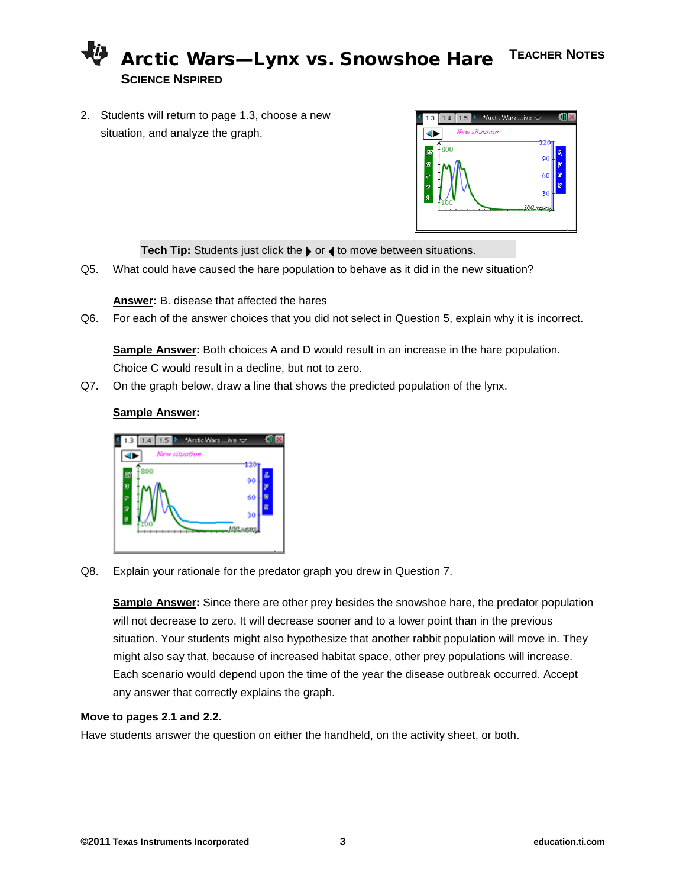2. Students will return to page 1.3, choose a new situation, and analyze the graph.



Tech Tip: Students just click the  $\triangleright$  or  $\triangleleft$  to move between situations.

Q5. What could have caused the hare population to behave as it did in the new situation?

**Answer:** B. disease that affected the hares

Q6. For each of the answer choices that you did not select in Question 5, explain why it is incorrect.

**Sample Answer:** Both choices A and D would result in an increase in the hare population. Choice C would result in a decline, but not to zero.

Q7. On the graph below, draw a line that shows the predicted population of the lynx.

### **Sample Answer:**



Q8. Explain your rationale for the predator graph you drew in Question 7.

**Sample Answer:** Since there are other prey besides the snowshoe hare, the predator population will not decrease to zero. It will decrease sooner and to a lower point than in the previous situation. Your students might also hypothesize that another rabbit population will move in. They might also say that, because of increased habitat space, other prey populations will increase. Each scenario would depend upon the time of the year the disease outbreak occurred. Accept any answer that correctly explains the graph.

#### **Move to pages 2.1 and 2.2.**

Have students answer the question on either the handheld, on the activity sheet, or both.